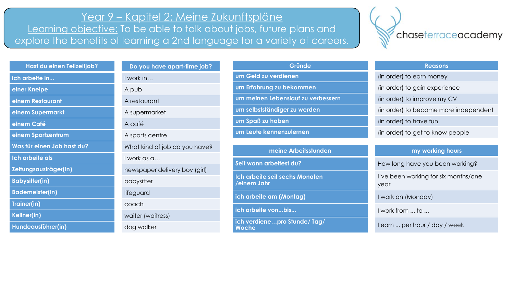## Year 9 – Kapitel 2: Meine Zukunftspläne

Learning objective: To be able to talk about jobs, future plans and explore the benefits of learning a 2nd language for a variety of careers.



| Hast du einen Teilzeitjob? | Do you have apart-time job?   | Gründe                                        | <b>Reasons</b>                               |
|----------------------------|-------------------------------|-----------------------------------------------|----------------------------------------------|
| ich arbeite in             | I work in                     | um Geld zu verdienen                          | (in order) to earn money                     |
| einer Kneipe               | A pub                         | um Erfahrung zu bekommen                      | (in order) to gain experience                |
| einem Restaurant           | A restaurant                  | um meinen Lebenslauf zu verbessern            | (in order) to improve my CV                  |
| einem Supermarkt           | A supermarket                 | um selbstständiger zu werden                  | (in order) to become more independent        |
| einem Café                 | A café                        | um Spaß zu haben                              | (in order) to have fun                       |
| einem Sportzentrum         | A sports centre               | um Leute kennenzulernen                       | (in order) to get to know people             |
| Was für einen Job hast du? | What kind of job do you have? | meine Arbeitsstunden                          | my working hours                             |
| <u>Ich arbeite als</u>     | I work as a                   |                                               |                                              |
| Zeitungsausträger(in)      | newspaper delivery boy (girl) | Seit wann arbeitest du?                       | How long have you been working?              |
| <b>Babysitter(in)</b>      | babysitter                    | Ich arbeite seit sechs Monaten<br>einem Jahr/ | I've been working for six months/one<br>year |
| <b>Bademeister(in)</b>     | lifeguard                     | ich arbeite am (Montag)                       | I work on (Monday)                           |
| Trainer(in)                | coach                         |                                               |                                              |
| Kellner(in)                | waiter (waitress)             | ich arbeite vonbis                            | I work from  to                              |
| Hundeausführer(in)         | dog walker                    | ich verdienepro Stunde/Tag/<br>Woche          | I earn  per hour / day / week                |